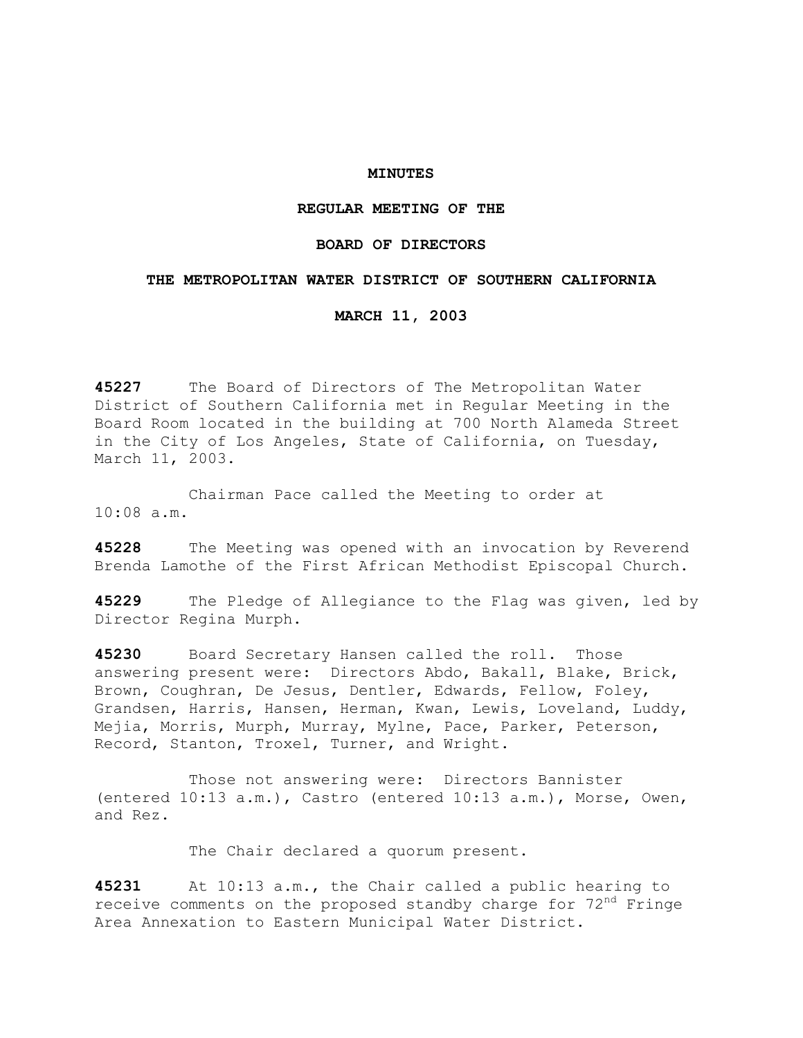### **MINUTES**

## **REGULAR MEETING OF THE**

# **BOARD OF DIRECTORS**

### **THE METROPOLITAN WATER DISTRICT OF SOUTHERN CALIFORNIA**

**MARCH 11, 2003** 

**45227** The Board of Directors of The Metropolitan Water District of Southern California met in Regular Meeting in the Board Room located in the building at 700 North Alameda Street in the City of Los Angeles, State of California, on Tuesday, March 11, 2003.

 Chairman Pace called the Meeting to order at 10:08 a.m.

**45228** The Meeting was opened with an invocation by Reverend Brenda Lamothe of the First African Methodist Episcopal Church.

**45229** The Pledge of Allegiance to the Flag was given, led by Director Regina Murph.

**45230** Board Secretary Hansen called the roll. Those answering present were: Directors Abdo, Bakall, Blake, Brick, Brown, Coughran, De Jesus, Dentler, Edwards, Fellow, Foley, Grandsen, Harris, Hansen, Herman, Kwan, Lewis, Loveland, Luddy, Mejia, Morris, Murph, Murray, Mylne, Pace, Parker, Peterson, Record, Stanton, Troxel, Turner, and Wright.

 Those not answering were: Directors Bannister (entered 10:13 a.m.), Castro (entered 10:13 a.m.), Morse, Owen, and Rez.

The Chair declared a quorum present.

**45231** At 10:13 a.m., the Chair called a public hearing to receive comments on the proposed standby charge for  $72<sup>nd</sup>$  Fringe Area Annexation to Eastern Municipal Water District.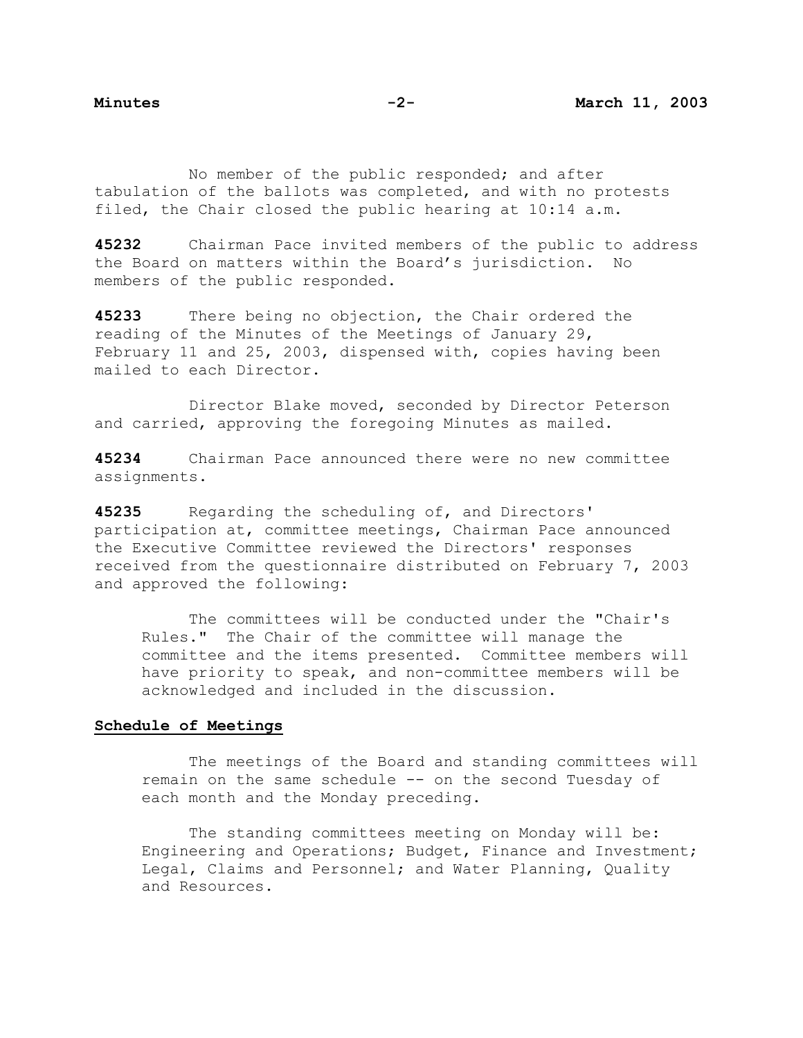No member of the public responded; and after tabulation of the ballots was completed, and with no protests filed, the Chair closed the public hearing at 10:14 a.m.

**45232** Chairman Pace invited members of the public to address the Board on matters within the Board's jurisdiction. No members of the public responded.

**45233** There being no objection, the Chair ordered the reading of the Minutes of the Meetings of January 29, February 11 and 25, 2003, dispensed with, copies having been mailed to each Director.

 Director Blake moved, seconded by Director Peterson and carried, approving the foregoing Minutes as mailed.

**45234** Chairman Pace announced there were no new committee assignments.

**45235** Regarding the scheduling of, and Directors' participation at, committee meetings, Chairman Pace announced the Executive Committee reviewed the Directors' responses received from the questionnaire distributed on February 7, 2003 and approved the following:

 The committees will be conducted under the "Chair's Rules." The Chair of the committee will manage the committee and the items presented. Committee members will have priority to speak, and non-committee members will be acknowledged and included in the discussion.

# **Schedule of Meetings**

 The meetings of the Board and standing committees will remain on the same schedule -- on the second Tuesday of each month and the Monday preceding.

The standing committees meeting on Monday will be: Engineering and Operations; Budget, Finance and Investment; Legal, Claims and Personnel; and Water Planning, Quality and Resources.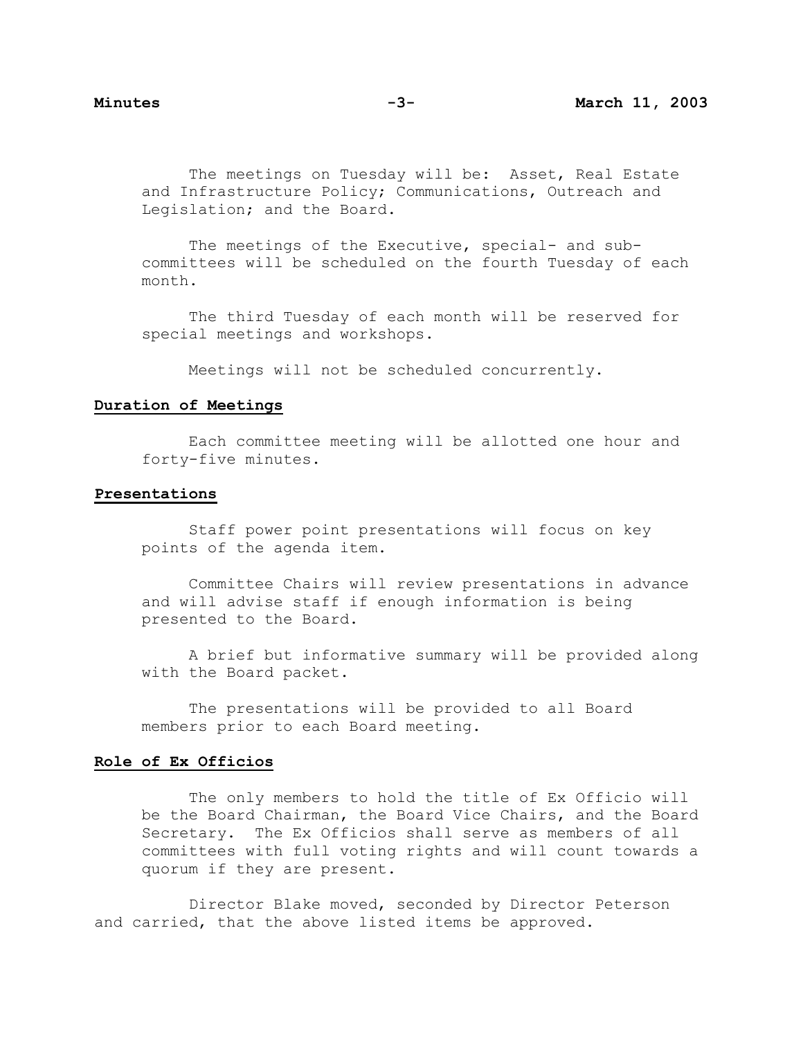The meetings on Tuesday will be: Asset, Real Estate and Infrastructure Policy; Communications, Outreach and Legislation; and the Board.

The meetings of the Executive, special- and subcommittees will be scheduled on the fourth Tuesday of each month.

 The third Tuesday of each month will be reserved for special meetings and workshops.

Meetings will not be scheduled concurrently.

# **Duration of Meetings**

 Each committee meeting will be allotted one hour and forty-five minutes.

### **Presentations**

 Staff power point presentations will focus on key points of the agenda item.

 Committee Chairs will review presentations in advance and will advise staff if enough information is being presented to the Board.

 A brief but informative summary will be provided along with the Board packet.

 The presentations will be provided to all Board members prior to each Board meeting.

### **Role of Ex Officios**

 The only members to hold the title of Ex Officio will be the Board Chairman, the Board Vice Chairs, and the Board Secretary. The Ex Officios shall serve as members of all committees with full voting rights and will count towards a quorum if they are present.

 Director Blake moved, seconded by Director Peterson and carried, that the above listed items be approved.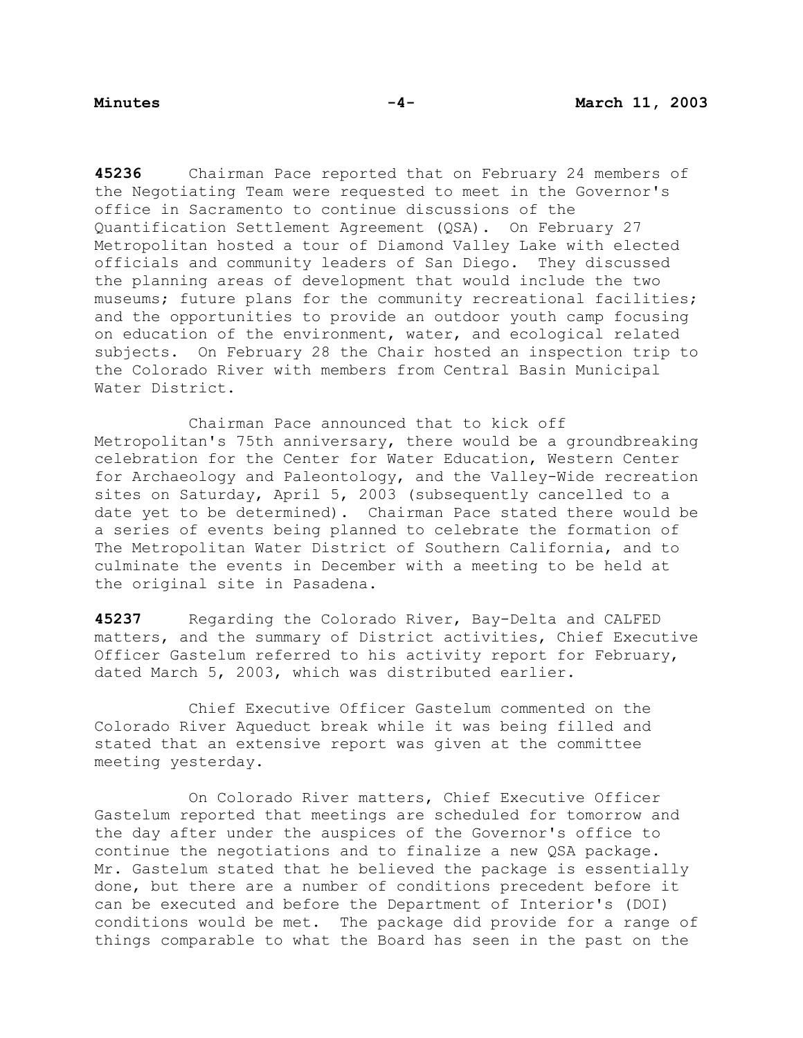**45236** Chairman Pace reported that on February 24 members of the Negotiating Team were requested to meet in the Governor's office in Sacramento to continue discussions of the Quantification Settlement Agreement (QSA). On February 27 Metropolitan hosted a tour of Diamond Valley Lake with elected officials and community leaders of San Diego. They discussed the planning areas of development that would include the two museums; future plans for the community recreational facilities; and the opportunities to provide an outdoor youth camp focusing on education of the environment, water, and ecological related subjects. On February 28 the Chair hosted an inspection trip to the Colorado River with members from Central Basin Municipal Water District.

 Chairman Pace announced that to kick off Metropolitan's 75th anniversary, there would be a groundbreaking celebration for the Center for Water Education, Western Center for Archaeology and Paleontology, and the Valley-Wide recreation sites on Saturday, April 5, 2003 (subsequently cancelled to a date yet to be determined). Chairman Pace stated there would be a series of events being planned to celebrate the formation of The Metropolitan Water District of Southern California, and to culminate the events in December with a meeting to be held at the original site in Pasadena.

**45237** Regarding the Colorado River, Bay-Delta and CALFED matters, and the summary of District activities, Chief Executive Officer Gastelum referred to his activity report for February, dated March 5, 2003, which was distributed earlier.

 Chief Executive Officer Gastelum commented on the Colorado River Aqueduct break while it was being filled and stated that an extensive report was given at the committee meeting yesterday.

 On Colorado River matters, Chief Executive Officer Gastelum reported that meetings are scheduled for tomorrow and the day after under the auspices of the Governor's office to continue the negotiations and to finalize a new QSA package. Mr. Gastelum stated that he believed the package is essentially done, but there are a number of conditions precedent before it can be executed and before the Department of Interior's (DOI) conditions would be met. The package did provide for a range of things comparable to what the Board has seen in the past on the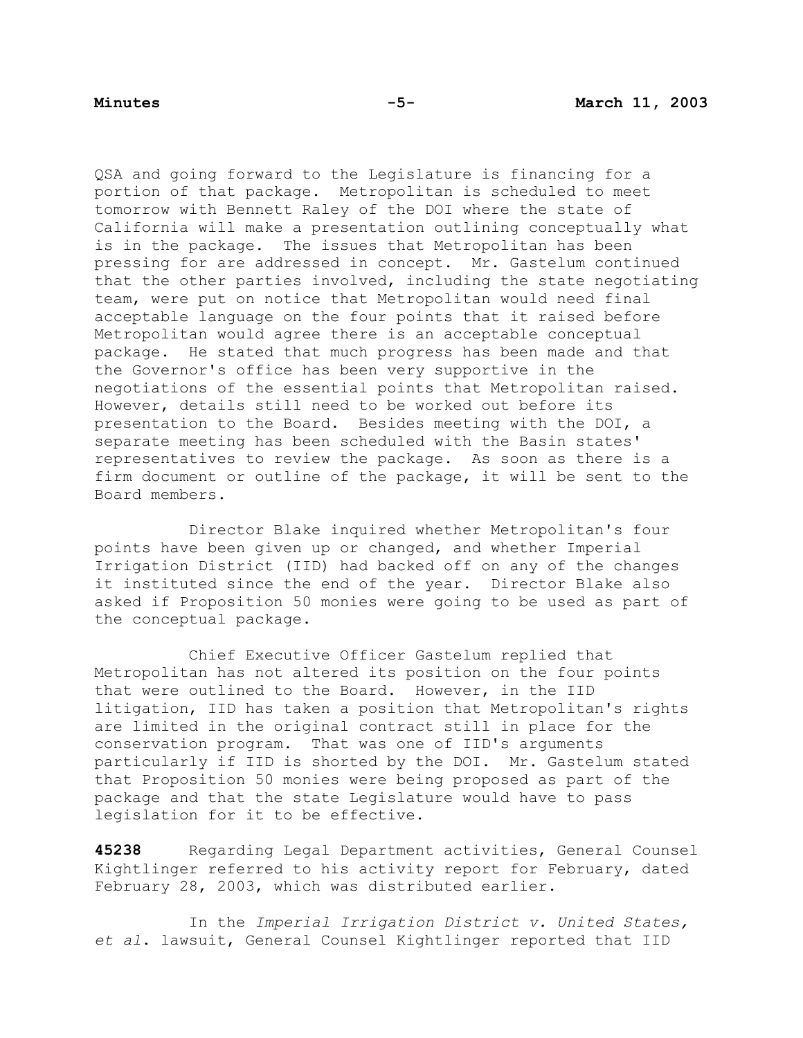QSA and going forward to the Legislature is financing for a portion of that package. Metropolitan is scheduled to meet tomorrow with Bennett Raley of the DOI where the state of California will make a presentation outlining conceptually what is in the package. The issues that Metropolitan has been pressing for are addressed in concept. Mr. Gastelum continued that the other parties involved, including the state negotiating team, were put on notice that Metropolitan would need final acceptable language on the four points that it raised before Metropolitan would agree there is an acceptable conceptual package. He stated that much progress has been made and that the Governor's office has been very supportive in the negotiations of the essential points that Metropolitan raised. However, details still need to be worked out before its presentation to the Board. Besides meeting with the DOI, a separate meeting has been scheduled with the Basin states' representatives to review the package. As soon as there is a firm document or outline of the package, it will be sent to the Board members.

 Director Blake inquired whether Metropolitan's four points have been given up or changed, and whether Imperial Irrigation District (IID) had backed off on any of the changes it instituted since the end of the year. Director Blake also asked if Proposition 50 monies were going to be used as part of the conceptual package.

 Chief Executive Officer Gastelum replied that Metropolitan has not altered its position on the four points that were outlined to the Board. However, in the IID litigation, IID has taken a position that Metropolitan's rights are limited in the original contract still in place for the conservation program. That was one of IID's arguments particularly if IID is shorted by the DOI. Mr. Gastelum stated that Proposition 50 monies were being proposed as part of the package and that the state Legislature would have to pass legislation for it to be effective.

**45238** Regarding Legal Department activities, General Counsel Kightlinger referred to his activity report for February, dated February 28, 2003, which was distributed earlier.

 In the *Imperial Irrigation District v. United States, et al*. lawsuit, General Counsel Kightlinger reported that IID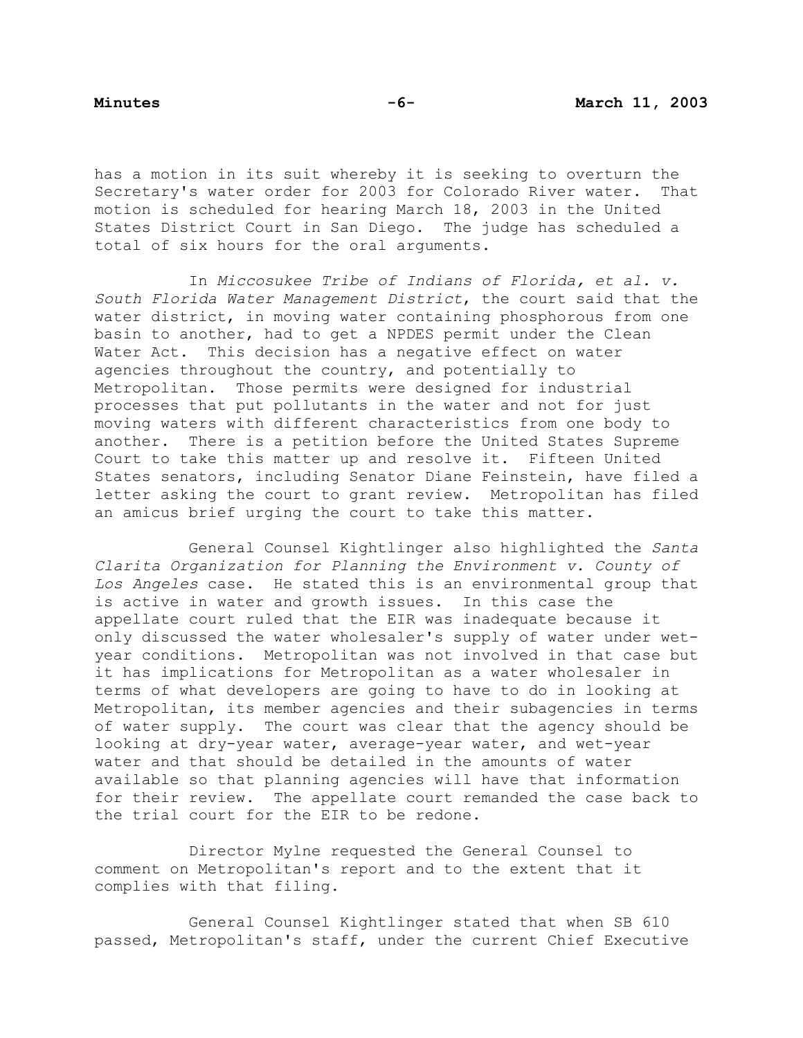has a motion in its suit whereby it is seeking to overturn the Secretary's water order for 2003 for Colorado River water. That motion is scheduled for hearing March 18, 2003 in the United States District Court in San Diego. The judge has scheduled a total of six hours for the oral arguments.

 In *Miccosukee Tribe of Indians of Florida, et al. v. South Florida Water Management District*, the court said that the water district, in moving water containing phosphorous from one basin to another, had to get a NPDES permit under the Clean Water Act. This decision has a negative effect on water agencies throughout the country, and potentially to Metropolitan. Those permits were designed for industrial processes that put pollutants in the water and not for just moving waters with different characteristics from one body to another. There is a petition before the United States Supreme Court to take this matter up and resolve it. Fifteen United States senators, including Senator Diane Feinstein, have filed a letter asking the court to grant review. Metropolitan has filed an amicus brief urging the court to take this matter.

 General Counsel Kightlinger also highlighted the *Santa Clarita Organization for Planning the Environment v. County of Los Angeles* case. He stated this is an environmental group that is active in water and growth issues. In this case the appellate court ruled that the EIR was inadequate because it only discussed the water wholesaler's supply of water under wetyear conditions. Metropolitan was not involved in that case but it has implications for Metropolitan as a water wholesaler in terms of what developers are going to have to do in looking at Metropolitan, its member agencies and their subagencies in terms of water supply. The court was clear that the agency should be looking at dry-year water, average-year water, and wet-year water and that should be detailed in the amounts of water available so that planning agencies will have that information for their review. The appellate court remanded the case back to the trial court for the EIR to be redone.

 Director Mylne requested the General Counsel to comment on Metropolitan's report and to the extent that it complies with that filing.

 General Counsel Kightlinger stated that when SB 610 passed, Metropolitan's staff, under the current Chief Executive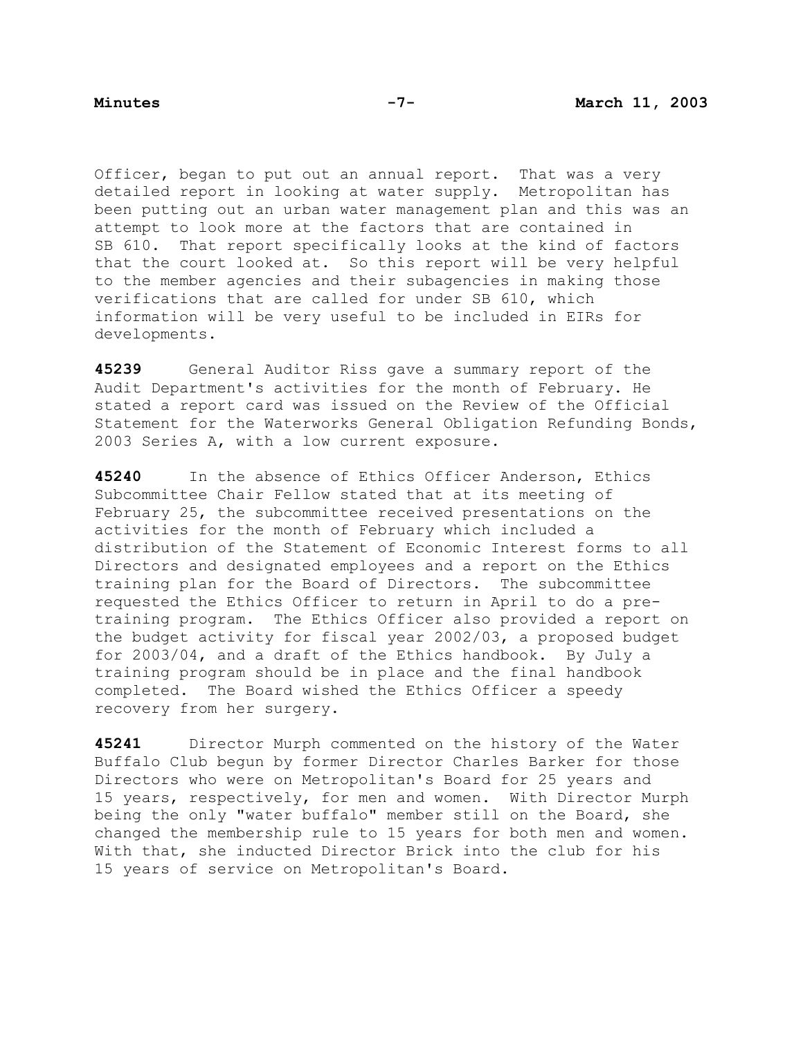Officer, began to put out an annual report. That was a very detailed report in looking at water supply. Metropolitan has been putting out an urban water management plan and this was an attempt to look more at the factors that are contained in SB 610. That report specifically looks at the kind of factors that the court looked at. So this report will be very helpful to the member agencies and their subagencies in making those verifications that are called for under SB 610, which information will be very useful to be included in EIRs for developments.

**45239** General Auditor Riss gave a summary report of the Audit Department's activities for the month of February. He stated a report card was issued on the Review of the Official Statement for the Waterworks General Obligation Refunding Bonds, 2003 Series A, with a low current exposure.

**45240** In the absence of Ethics Officer Anderson, Ethics Subcommittee Chair Fellow stated that at its meeting of February 25, the subcommittee received presentations on the activities for the month of February which included a distribution of the Statement of Economic Interest forms to all Directors and designated employees and a report on the Ethics training plan for the Board of Directors. The subcommittee requested the Ethics Officer to return in April to do a pretraining program. The Ethics Officer also provided a report on the budget activity for fiscal year 2002/03, a proposed budget for 2003/04, and a draft of the Ethics handbook. By July a training program should be in place and the final handbook completed. The Board wished the Ethics Officer a speedy recovery from her surgery.

**45241** Director Murph commented on the history of the Water Buffalo Club begun by former Director Charles Barker for those Directors who were on Metropolitan's Board for 25 years and 15 years, respectively, for men and women. With Director Murph being the only "water buffalo" member still on the Board, she changed the membership rule to 15 years for both men and women. With that, she inducted Director Brick into the club for his 15 years of service on Metropolitan's Board.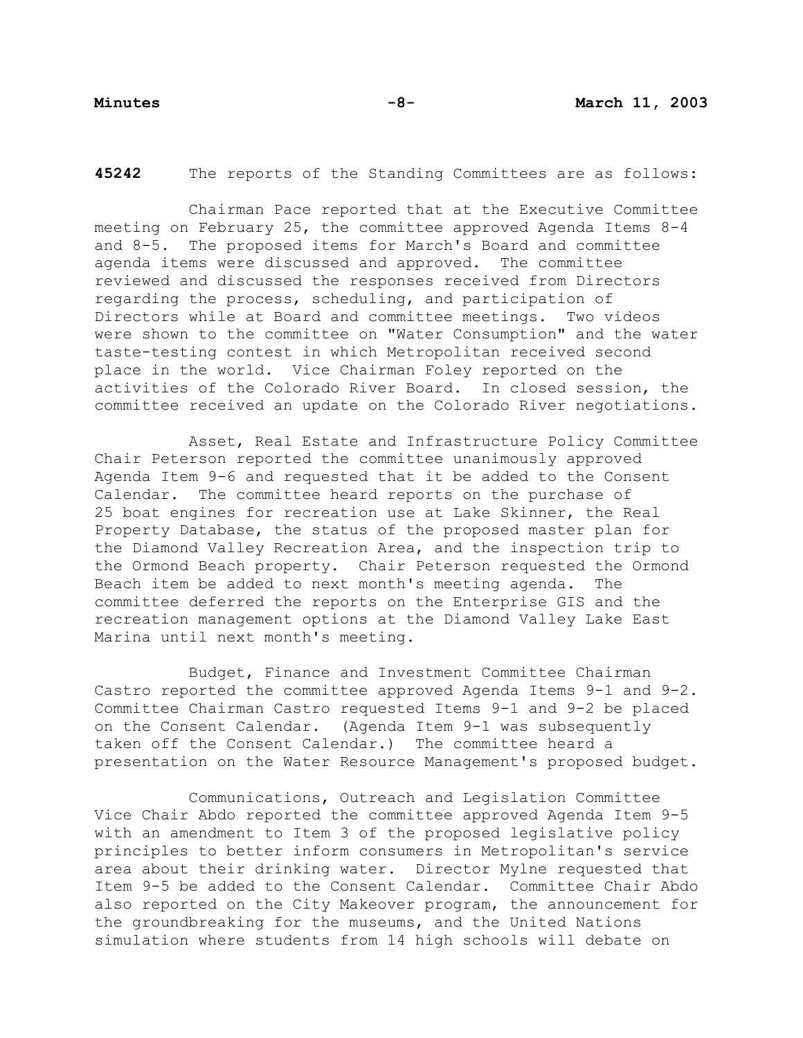**45242** The reports of the Standing Committees are as follows:

Chairman Pace reported that at the Executive Committee meeting on February 25, the committee approved Agenda Items 8-4 and 8-5. The proposed items for March's Board and committee agenda items were discussed and approved. The committee reviewed and discussed the responses received from Directors regarding the process, scheduling, and participation of Directors while at Board and committee meetings. Two videos were shown to the committee on "Water Consumption" and the water taste-testing contest in which Metropolitan received second place in the world. Vice Chairman Foley reported on the activities of the Colorado River Board. In closed session, the committee received an update on the Colorado River negotiations.

 Asset, Real Estate and Infrastructure Policy Committee Chair Peterson reported the committee unanimously approved Agenda Item 9-6 and requested that it be added to the Consent Calendar. The committee heard reports on the purchase of 25 boat engines for recreation use at Lake Skinner, the Real Property Database, the status of the proposed master plan for the Diamond Valley Recreation Area, and the inspection trip to the Ormond Beach property. Chair Peterson requested the Ormond Beach item be added to next month's meeting agenda. The committee deferred the reports on the Enterprise GIS and the recreation management options at the Diamond Valley Lake East Marina until next month's meeting.

 Budget, Finance and Investment Committee Chairman Castro reported the committee approved Agenda Items 9-1 and 9-2. Committee Chairman Castro requested Items 9-1 and 9-2 be placed on the Consent Calendar. (Agenda Item 9-1 was subsequently taken off the Consent Calendar.) The committee heard a presentation on the Water Resource Management's proposed budget.

 Communications, Outreach and Legislation Committee Vice Chair Abdo reported the committee approved Agenda Item 9-5 with an amendment to Item 3 of the proposed legislative policy principles to better inform consumers in Metropolitan's service area about their drinking water. Director Mylne requested that Item 9-5 be added to the Consent Calendar. Committee Chair Abdo also reported on the City Makeover program, the announcement for the groundbreaking for the museums, and the United Nations simulation where students from 14 high schools will debate on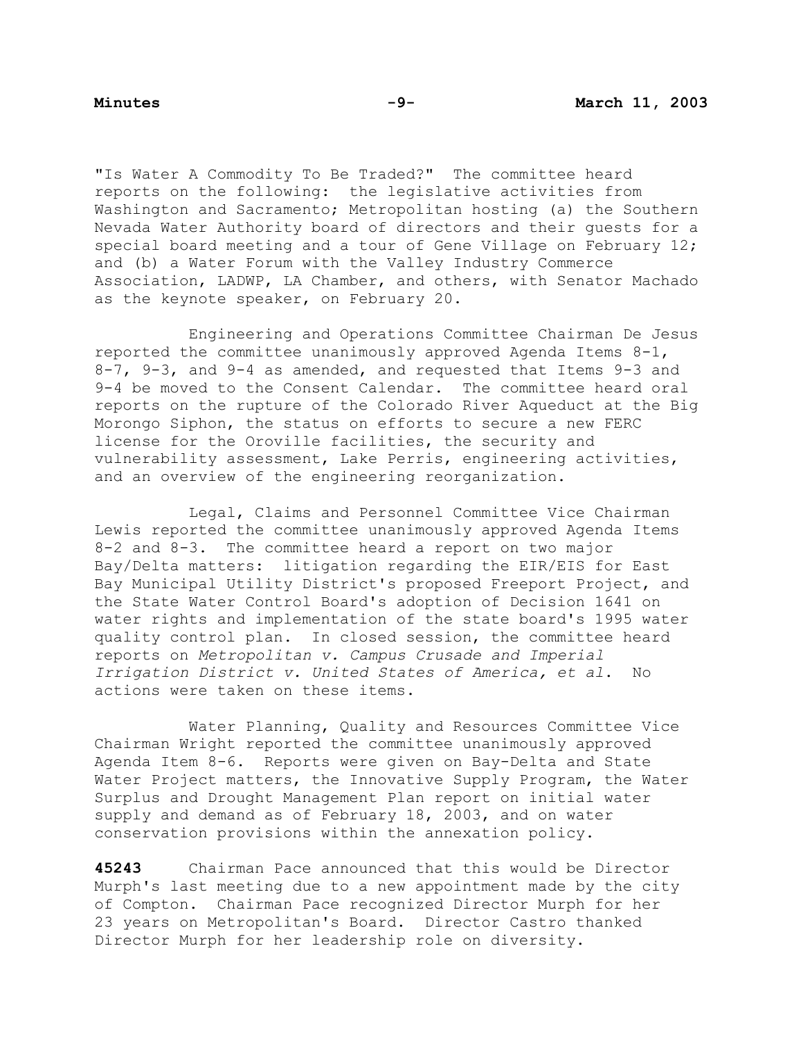"Is Water A Commodity To Be Traded?" The committee heard reports on the following: the legislative activities from Washington and Sacramento; Metropolitan hosting (a) the Southern Nevada Water Authority board of directors and their guests for a special board meeting and a tour of Gene Village on February 12; and (b) a Water Forum with the Valley Industry Commerce Association, LADWP, LA Chamber, and others, with Senator Machado as the keynote speaker, on February 20.

 Engineering and Operations Committee Chairman De Jesus reported the committee unanimously approved Agenda Items 8-1, 8-7, 9-3, and 9-4 as amended, and requested that Items 9-3 and 9-4 be moved to the Consent Calendar. The committee heard oral reports on the rupture of the Colorado River Aqueduct at the Big Morongo Siphon, the status on efforts to secure a new FERC license for the Oroville facilities, the security and vulnerability assessment, Lake Perris, engineering activities, and an overview of the engineering reorganization.

 Legal, Claims and Personnel Committee Vice Chairman Lewis reported the committee unanimously approved Agenda Items 8-2 and 8-3. The committee heard a report on two major Bay/Delta matters: litigation regarding the EIR/EIS for East Bay Municipal Utility District's proposed Freeport Project, and the State Water Control Board's adoption of Decision 1641 on water rights and implementation of the state board's 1995 water quality control plan. In closed session, the committee heard reports on *Metropolitan v. Campus Crusade and Imperial Irrigation District v. United States of America, et al*. No actions were taken on these items.

 Water Planning, Quality and Resources Committee Vice Chairman Wright reported the committee unanimously approved Agenda Item 8-6. Reports were given on Bay-Delta and State Water Project matters, the Innovative Supply Program, the Water Surplus and Drought Management Plan report on initial water supply and demand as of February 18, 2003, and on water conservation provisions within the annexation policy.

**45243** Chairman Pace announced that this would be Director Murph's last meeting due to a new appointment made by the city of Compton. Chairman Pace recognized Director Murph for her 23 years on Metropolitan's Board. Director Castro thanked Director Murph for her leadership role on diversity.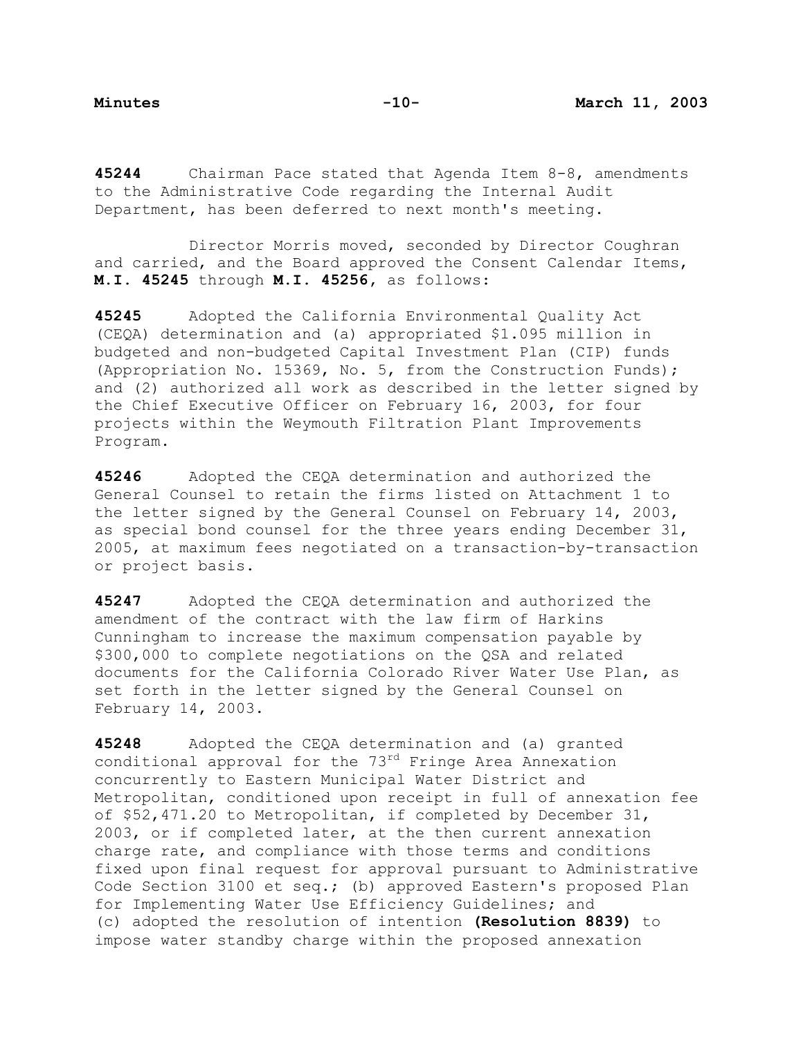**45244** Chairman Pace stated that Agenda Item 8-8, amendments to the Administrative Code regarding the Internal Audit Department, has been deferred to next month's meeting.

 Director Morris moved, seconded by Director Coughran and carried, and the Board approved the Consent Calendar Items, **M.I. 45245** through **M.I. 45256,** as follows:

**45245** Adopted the California Environmental Quality Act (CEQA) determination and (a) appropriated \$1.095 million in budgeted and non-budgeted Capital Investment Plan (CIP) funds (Appropriation No. 15369, No. 5, from the Construction Funds); and (2) authorized all work as described in the letter signed by the Chief Executive Officer on February 16, 2003, for four projects within the Weymouth Filtration Plant Improvements Program.

**45246** Adopted the CEQA determination and authorized the General Counsel to retain the firms listed on Attachment 1 to the letter signed by the General Counsel on February 14, 2003, as special bond counsel for the three years ending December 31, 2005, at maximum fees negotiated on a transaction-by-transaction or project basis.

**45247** Adopted the CEQA determination and authorized the amendment of the contract with the law firm of Harkins Cunningham to increase the maximum compensation payable by \$300,000 to complete negotiations on the QSA and related documents for the California Colorado River Water Use Plan, as set forth in the letter signed by the General Counsel on February 14, 2003.

**45248** Adopted the CEQA determination and (a) granted conditional approval for the 73rd Fringe Area Annexation concurrently to Eastern Municipal Water District and Metropolitan, conditioned upon receipt in full of annexation fee of \$52,471.20 to Metropolitan, if completed by December 31, 2003, or if completed later, at the then current annexation charge rate, and compliance with those terms and conditions fixed upon final request for approval pursuant to Administrative Code Section 3100 et seq.; (b) approved Eastern's proposed Plan for Implementing Water Use Efficiency Guidelines; and (c) adopted the resolution of intention **(Resolution 8839)** to impose water standby charge within the proposed annexation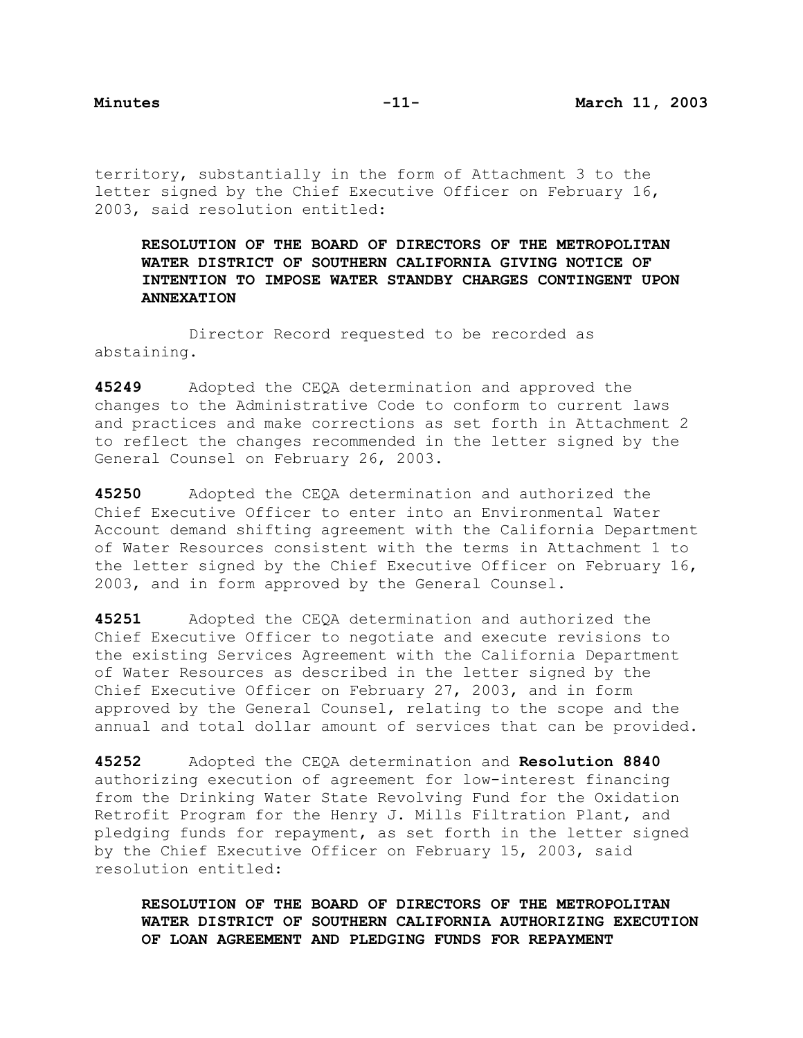territory, substantially in the form of Attachment 3 to the letter signed by the Chief Executive Officer on February 16, 2003, said resolution entitled:

**RESOLUTION OF THE BOARD OF DIRECTORS OF THE METROPOLITAN WATER DISTRICT OF SOUTHERN CALIFORNIA GIVING NOTICE OF INTENTION TO IMPOSE WATER STANDBY CHARGES CONTINGENT UPON ANNEXATION**

 Director Record requested to be recorded as abstaining.

**45249** Adopted the CEQA determination and approved the changes to the Administrative Code to conform to current laws and practices and make corrections as set forth in Attachment 2 to reflect the changes recommended in the letter signed by the General Counsel on February 26, 2003.

**45250** Adopted the CEQA determination and authorized the Chief Executive Officer to enter into an Environmental Water Account demand shifting agreement with the California Department of Water Resources consistent with the terms in Attachment 1 to the letter signed by the Chief Executive Officer on February 16, 2003, and in form approved by the General Counsel.

**45251** Adopted the CEQA determination and authorized the Chief Executive Officer to negotiate and execute revisions to the existing Services Agreement with the California Department of Water Resources as described in the letter signed by the Chief Executive Officer on February 27, 2003, and in form approved by the General Counsel, relating to the scope and the annual and total dollar amount of services that can be provided.

**45252** Adopted the CEQA determination and **Resolution 8840** authorizing execution of agreement for low-interest financing from the Drinking Water State Revolving Fund for the Oxidation Retrofit Program for the Henry J. Mills Filtration Plant, and pledging funds for repayment, as set forth in the letter signed by the Chief Executive Officer on February 15, 2003, said resolution entitled:

**RESOLUTION OF THE BOARD OF DIRECTORS OF THE METROPOLITAN WATER DISTRICT OF SOUTHERN CALIFORNIA AUTHORIZING EXECUTION OF LOAN AGREEMENT AND PLEDGING FUNDS FOR REPAYMENT**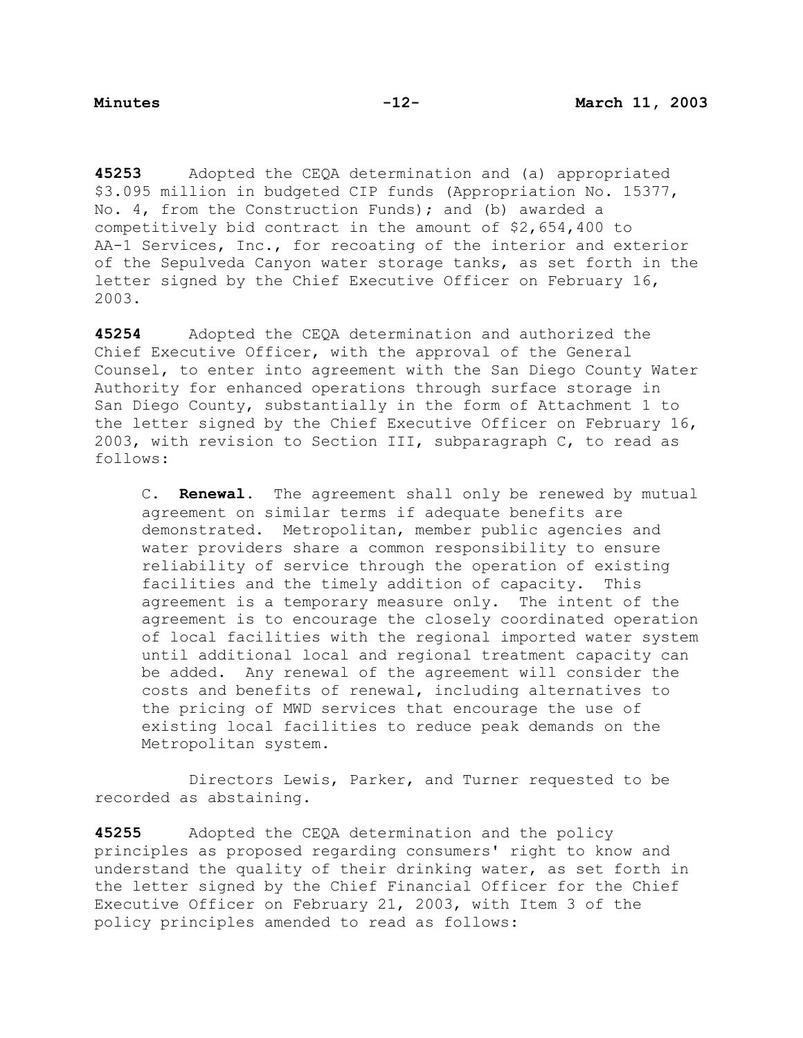**45253** Adopted the CEQA determination and (a) appropriated \$3.095 million in budgeted CIP funds (Appropriation No. 15377, No. 4, from the Construction Funds); and (b) awarded a competitively bid contract in the amount of \$2,654,400 to AA-1 Services, Inc., for recoating of the interior and exterior of the Sepulveda Canyon water storage tanks, as set forth in the letter signed by the Chief Executive Officer on February 16, 2003.

**45254** Adopted the CEQA determination and authorized the Chief Executive Officer, with the approval of the General Counsel, to enter into agreement with the San Diego County Water Authority for enhanced operations through surface storage in San Diego County, substantially in the form of Attachment 1 to the letter signed by the Chief Executive Officer on February 16, 2003, with revision to Section III, subparagraph C, to read as follows:

 C. **Renewal**. The agreement shall only be renewed by mutual agreement on similar terms if adequate benefits are demonstrated. Metropolitan, member public agencies and water providers share a common responsibility to ensure reliability of service through the operation of existing facilities and the timely addition of capacity. This agreement is a temporary measure only. The intent of the agreement is to encourage the closely coordinated operation of local facilities with the regional imported water system until additional local and regional treatment capacity can be added. Any renewal of the agreement will consider the costs and benefits of renewal, including alternatives to the pricing of MWD services that encourage the use of existing local facilities to reduce peak demands on the Metropolitan system.

 Directors Lewis, Parker, and Turner requested to be recorded as abstaining.

**45255** Adopted the CEQA determination and the policy principles as proposed regarding consumers' right to know and understand the quality of their drinking water, as set forth in the letter signed by the Chief Financial Officer for the Chief Executive Officer on February 21, 2003, with Item 3 of the policy principles amended to read as follows: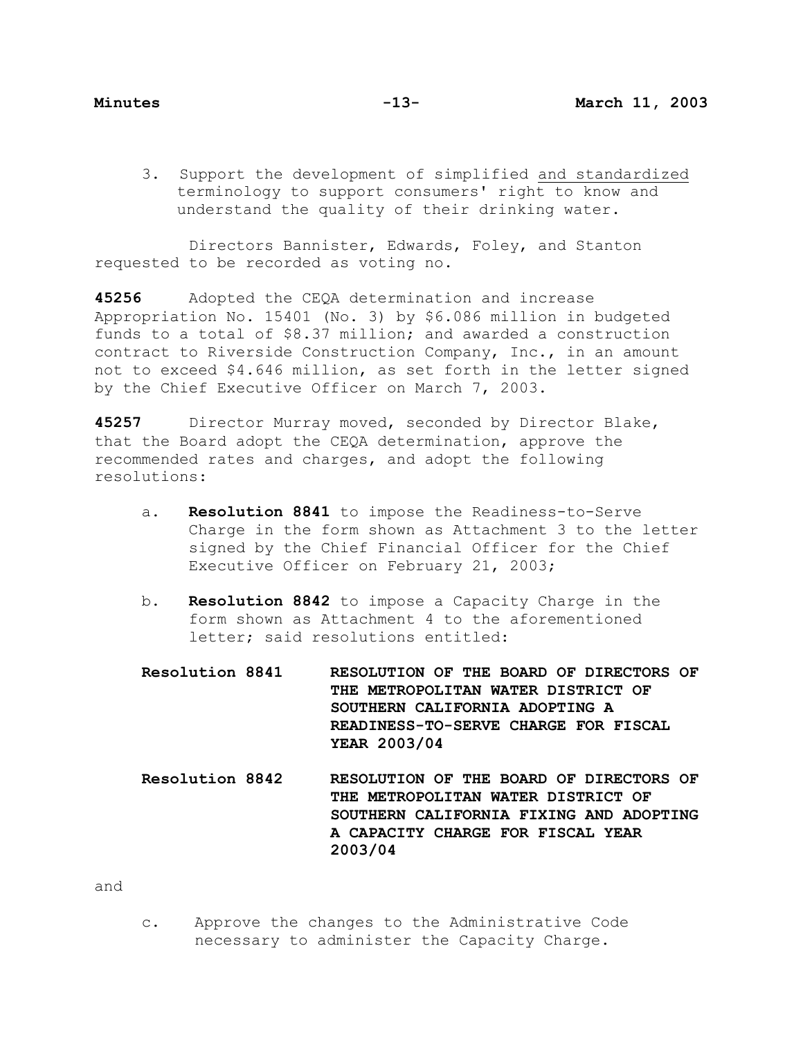3. Support the development of simplified and standardized terminology to support consumers' right to know and understand the quality of their drinking water.

 Directors Bannister, Edwards, Foley, and Stanton requested to be recorded as voting no.

**45256** Adopted the CEQA determination and increase Appropriation No. 15401 (No. 3) by \$6.086 million in budgeted funds to a total of \$8.37 million; and awarded a construction contract to Riverside Construction Company, Inc., in an amount not to exceed \$4.646 million, as set forth in the letter signed by the Chief Executive Officer on March 7, 2003.

**45257** Director Murray moved, seconded by Director Blake, that the Board adopt the CEQA determination, approve the recommended rates and charges, and adopt the following resolutions:

- a. **Resolution 8841** to impose the Readiness-to-Serve Charge in the form shown as Attachment 3 to the letter signed by the Chief Financial Officer for the Chief Executive Officer on February 21, 2003;
- b. **Resolution 8842** to impose a Capacity Charge in the form shown as Attachment 4 to the aforementioned letter; said resolutions entitled:

**Resolution 8841 RESOLUTION OF THE BOARD OF DIRECTORS OF THE METROPOLITAN WATER DISTRICT OF SOUTHERN CALIFORNIA ADOPTING A READINESS-TO-SERVE CHARGE FOR FISCAL YEAR 2003/04** 

**Resolution 8842 RESOLUTION OF THE BOARD OF DIRECTORS OF THE METROPOLITAN WATER DISTRICT OF SOUTHERN CALIFORNIA FIXING AND ADOPTING A CAPACITY CHARGE FOR FISCAL YEAR 2003/04**

and

c. Approve the changes to the Administrative Code necessary to administer the Capacity Charge.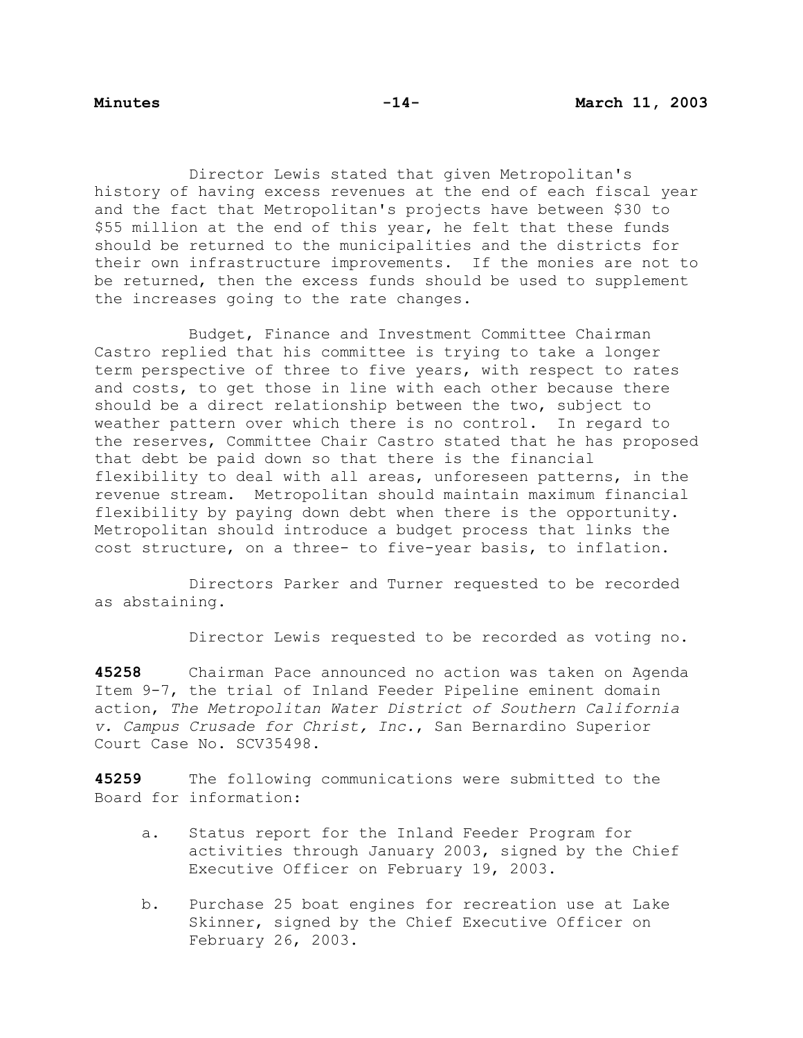Director Lewis stated that given Metropolitan's history of having excess revenues at the end of each fiscal year and the fact that Metropolitan's projects have between \$30 to \$55 million at the end of this year, he felt that these funds should be returned to the municipalities and the districts for their own infrastructure improvements. If the monies are not to be returned, then the excess funds should be used to supplement the increases going to the rate changes.

 Budget, Finance and Investment Committee Chairman Castro replied that his committee is trying to take a longer term perspective of three to five years, with respect to rates and costs, to get those in line with each other because there should be a direct relationship between the two, subject to weather pattern over which there is no control. In regard to the reserves, Committee Chair Castro stated that he has proposed that debt be paid down so that there is the financial flexibility to deal with all areas, unforeseen patterns, in the revenue stream. Metropolitan should maintain maximum financial flexibility by paying down debt when there is the opportunity. Metropolitan should introduce a budget process that links the cost structure, on a three- to five-year basis, to inflation.

 Directors Parker and Turner requested to be recorded as abstaining.

Director Lewis requested to be recorded as voting no.

**45258** Chairman Pace announced no action was taken on Agenda Item 9-7, the trial of Inland Feeder Pipeline eminent domain action, *The Metropolitan Water District of Southern California v. Campus Crusade for Christ, Inc.*, San Bernardino Superior Court Case No. SCV35498.

**45259** The following communications were submitted to the Board for information:

- a. Status report for the Inland Feeder Program for activities through January 2003, signed by the Chief Executive Officer on February 19, 2003.
- b. Purchase 25 boat engines for recreation use at Lake Skinner, signed by the Chief Executive Officer on February 26, 2003.